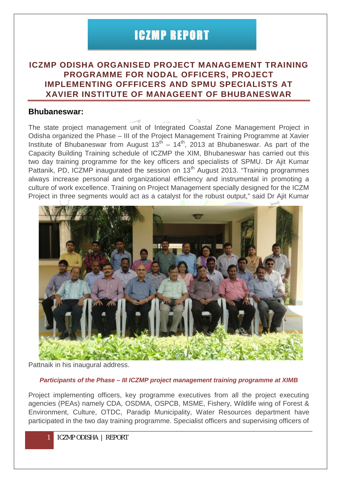## ICZMP REPORT

## **ICZMP ODISHA ORGANISED PROJECT MANAGEMENT TRAINING PROGRAMME FOR NODAL OFFICERS, PROJECT IMPLEMENTING OFFFICERS AND SPMU SPECIALISTS AT XAVIER INSTITUTE OF MANAGEENT OF BHUBANESWAR**

## **Bhubaneswar:**

The state project management unit of Integrated Coastal Zone Management Project in Odisha organized the Phase – III of the Project Management Training Programme at Xavier Institute of Bhubaneswar from August  $13<sup>th</sup> - 14<sup>th</sup>$ , 2013 at Bhubaneswar. As part of the Capacity Building Training schedule of ICZMP the XIM, Bhubaneswar has carried out this two day training programme for the key officers and specialists of SPMU. Dr Ajit Kumar Pattanik, PD, ICZMP inaugurated the session on 13<sup>th</sup> August 2013. "Training programmes always increase personal and organizational efficiency and instrumental in promoting a culture of work excellence. Training on Project Management specially designed for the ICZM Project in three segments would act as a catalyst for the robust output," said Dr Aiit Kumar



Pattnaik in his inaugural address.

## *Participants of the Phase – III ICZMP project management training programme at XIMB*

Project implementing officers, key programme executives from all the project executing agencies (PEAs) namely CDA, OSDMA, OSPCB, MSME, Fishery, Wildlife wing of Forest & Environment, Culture, OTDC, Paradip Municipality, Water Resources department have participated in the two day training programme. Specialist officers and supervising officers of